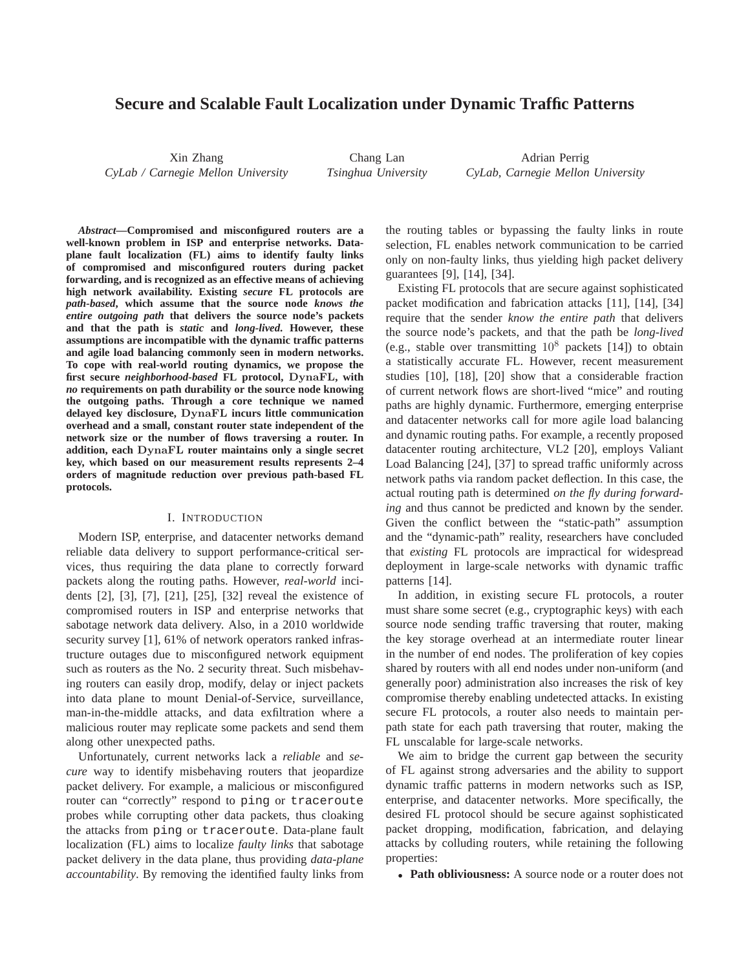# **Secure and Scalable Fault Localization under Dynamic Traffic Patterns**

Xin Zhang *CyLab / Carnegie Mellon University*

Chang Lan *Tsinghua University*

Adrian Perrig *CyLab, Carnegie Mellon University*

*Abstract***—Compromised and misconfigured routers are a well-known problem in ISP and enterprise networks. Dataplane fault localization (FL) aims to identify faulty links of compromised and misconfigured routers during packet forwarding, and is recognized as an effective means of achieving high network availability. Existing** *secure* **FL protocols are** *path-based***, which assume that the source node** *knows the entire outgoing path* **that delivers the source node's packets and that the path is** *static* **and** *long-lived***. However, these assumptions are incompatible with the dynamic traffic patterns and agile load balancing commonly seen in modern networks. To cope with real-world routing dynamics, we propose the first secure** *neighborhood-based* **FL protocol,** DynaFL**, with** *no* **requirements on path durability or the source node knowing the outgoing paths. Through a core technique we named delayed key disclosure,** DynaFL **incurs little communication overhead and a small, constant router state independent of the network size or the number of flows traversing a router. In addition, each** DynaFL **router maintains only a single secret key, which based on our measurement results represents 2–4 orders of magnitude reduction over previous path-based FL protocols.**

#### I. INTRODUCTION

Modern ISP, enterprise, and datacenter networks demand reliable data delivery to support performance-critical services, thus requiring the data plane to correctly forward packets along the routing paths. However, *real-world* incidents [2], [3], [7], [21], [25], [32] reveal the existence of compromised routers in ISP and enterprise networks that sabotage network data delivery. Also, in a 2010 worldwide security survey [1], 61% of network operators ranked infrastructure outages due to misconfigured network equipment such as routers as the No. 2 security threat. Such misbehaving routers can easily drop, modify, delay or inject packets into data plane to mount Denial-of-Service, surveillance, man-in-the-middle attacks, and data exfiltration where a malicious router may replicate some packets and send them along other unexpected paths.

Unfortunately, current networks lack a *reliable* and *secure* way to identify misbehaving routers that jeopardize packet delivery. For example, a malicious or misconfigured router can "correctly" respond to ping or traceroute probes while corrupting other data packets, thus cloaking the attacks from ping or traceroute. Data-plane fault localization (FL) aims to localize *faulty links* that sabotage packet delivery in the data plane, thus providing *data-plane accountability*. By removing the identified faulty links from the routing tables or bypassing the faulty links in route selection, FL enables network communication to be carried only on non-faulty links, thus yielding high packet delivery guarantees [9], [14], [34].

Existing FL protocols that are secure against sophisticated packet modification and fabrication attacks [11], [14], [34] require that the sender *know the entire path* that delivers the source node's packets, and that the path be *long-lived* (e.g., stable over transmitting  $10^8$  packets [14]) to obtain a statistically accurate FL. However, recent measurement studies [10], [18], [20] show that a considerable fraction of current network flows are short-lived "mice" and routing paths are highly dynamic. Furthermore, emerging enterprise and datacenter networks call for more agile load balancing and dynamic routing paths. For example, a recently proposed datacenter routing architecture, VL2 [20], employs Valiant Load Balancing [24], [37] to spread traffic uniformly across network paths via random packet deflection. In this case, the actual routing path is determined *on the fly during forwarding* and thus cannot be predicted and known by the sender. Given the conflict between the "static-path" assumption and the "dynamic-path" reality, researchers have concluded that *existing* FL protocols are impractical for widespread deployment in large-scale networks with dynamic traffic patterns [14].

In addition, in existing secure FL protocols, a router must share some secret (e.g., cryptographic keys) with each source node sending traffic traversing that router, making the key storage overhead at an intermediate router linear in the number of end nodes. The proliferation of key copies shared by routers with all end nodes under non-uniform (and generally poor) administration also increases the risk of key compromise thereby enabling undetected attacks. In existing secure FL protocols, a router also needs to maintain perpath state for each path traversing that router, making the FL unscalable for large-scale networks.

We aim to bridge the current gap between the security of FL against strong adversaries and the ability to support dynamic traffic patterns in modern networks such as ISP, enterprise, and datacenter networks. More specifically, the desired FL protocol should be secure against sophisticated packet dropping, modification, fabrication, and delaying attacks by colluding routers, while retaining the following properties:

• **Path obliviousness:** A source node or a router does not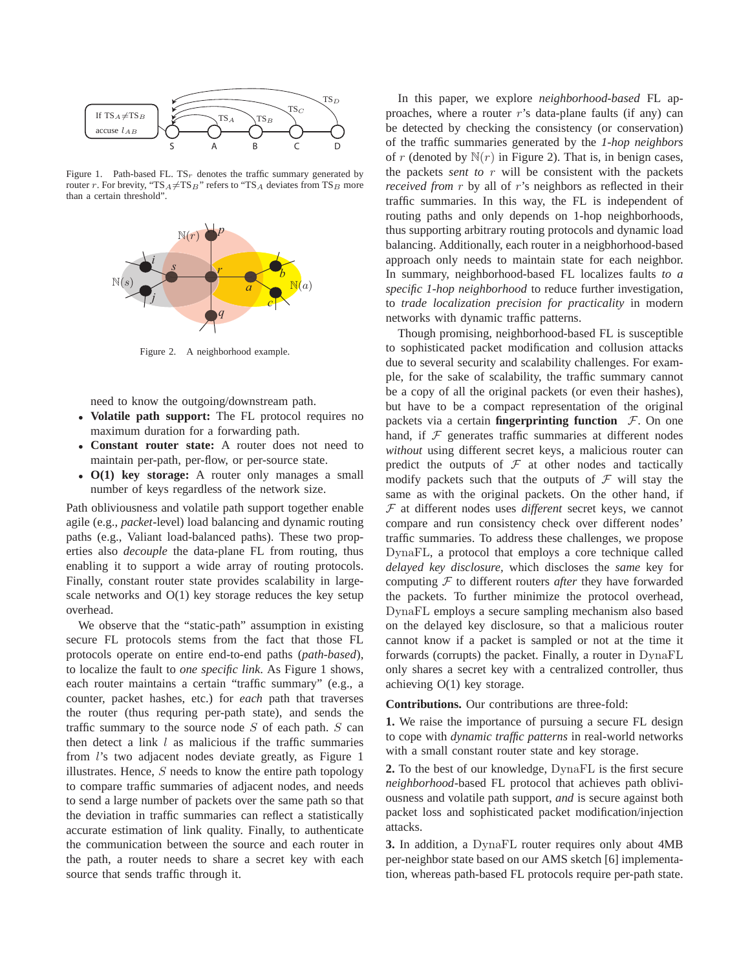

Figure 1. Path-based FL.  $TS<sub>r</sub>$  denotes the traffic summary generated by router r. For brevity, "TS<sub>A</sub> $\neq$ TS<sub>B</sub>" refers to "TS<sub>A</sub> deviates from TS<sub>B</sub> more than a certain threshold".



Figure 2. A neighborhood example.

need to know the outgoing/downstream path.

- **Volatile path support:** The FL protocol requires no maximum duration for a forwarding path.
- **Constant router state:** A router does not need to maintain per-path, per-flow, or per-source state.
- **O(1) key storage:** A router only manages a small number of keys regardless of the network size.

Path obliviousness and volatile path support together enable agile (e.g., *packet*-level) load balancing and dynamic routing paths (e.g., Valiant load-balanced paths). These two properties also *decouple* the data-plane FL from routing, thus enabling it to support a wide array of routing protocols. Finally, constant router state provides scalability in largescale networks and O(1) key storage reduces the key setup overhead.

We observe that the "static-path" assumption in existing secure FL protocols stems from the fact that those FL protocols operate on entire end-to-end paths (*path-based*), to localize the fault to *one specific link*. As Figure 1 shows, each router maintains a certain "traffic summary" (e.g., a counter, packet hashes, etc.) for *each* path that traverses the router (thus requring per-path state), and sends the traffic summary to the source node  $S$  of each path.  $S$  can then detect a link  $l$  as malicious if the traffic summaries from l's two adjacent nodes deviate greatly, as Figure 1 illustrates. Hence,  $S$  needs to know the entire path topology to compare traffic summaries of adjacent nodes, and needs to send a large number of packets over the same path so that the deviation in traffic summaries can reflect a statistically accurate estimation of link quality. Finally, to authenticate the communication between the source and each router in the path, a router needs to share a secret key with each source that sends traffic through it.

In this paper, we explore *neighborhood-based* FL approaches, where a router  $r$ 's data-plane faults (if any) can be detected by checking the consistency (or conservation) of the traffic summaries generated by the *1-hop neighbors* of r (denoted by  $N(r)$  in Figure 2). That is, in benign cases, the packets *sent to* r will be consistent with the packets *received from* r by all of r's neighbors as reflected in their traffic summaries. In this way, the FL is independent of routing paths and only depends on 1-hop neighborhoods, thus supporting arbitrary routing protocols and dynamic load balancing. Additionally, each router in a neigbhorhood-based approach only needs to maintain state for each neighbor. In summary, neighborhood-based FL localizes faults *to a specific 1-hop neighborhood* to reduce further investigation, to *trade localization precision for practicality* in modern networks with dynamic traffic patterns.

Though promising, neighborhood-based FL is susceptible to sophisticated packet modification and collusion attacks due to several security and scalability challenges. For example, for the sake of scalability, the traffic summary cannot be a copy of all the original packets (or even their hashes), but have to be a compact representation of the original packets via a certain **fingerprinting function**  $F$ . On one hand, if  $F$  generates traffic summaries at different nodes *without* using different secret keys, a malicious router can predict the outputs of  $F$  at other nodes and tactically modify packets such that the outputs of  $\mathcal F$  will stay the same as with the original packets. On the other hand, if F at different nodes uses *different* secret keys, we cannot compare and run consistency check over different nodes' traffic summaries. To address these challenges, we propose DynaFL, a protocol that employs a core technique called *delayed key disclosure,* which discloses the *same* key for computing F to different routers *after* they have forwarded the packets. To further minimize the protocol overhead, DynaFL employs a secure sampling mechanism also based on the delayed key disclosure, so that a malicious router cannot know if a packet is sampled or not at the time it forwards (corrupts) the packet. Finally, a router in DynaFL only shares a secret key with a centralized controller, thus achieving O(1) key storage.

**Contributions.** Our contributions are three-fold:

**1.** We raise the importance of pursuing a secure FL design to cope with *dynamic traffic patterns* in real-world networks with a small constant router state and key storage.

**2.** To the best of our knowledge, DynaFL is the first secure *neighborhood*-based FL protocol that achieves path obliviousness and volatile path support, *and* is secure against both packet loss and sophisticated packet modification/injection attacks.

**3.** In addition, a DynaFL router requires only about 4MB per-neighbor state based on our AMS sketch [6] implementation, whereas path-based FL protocols require per-path state.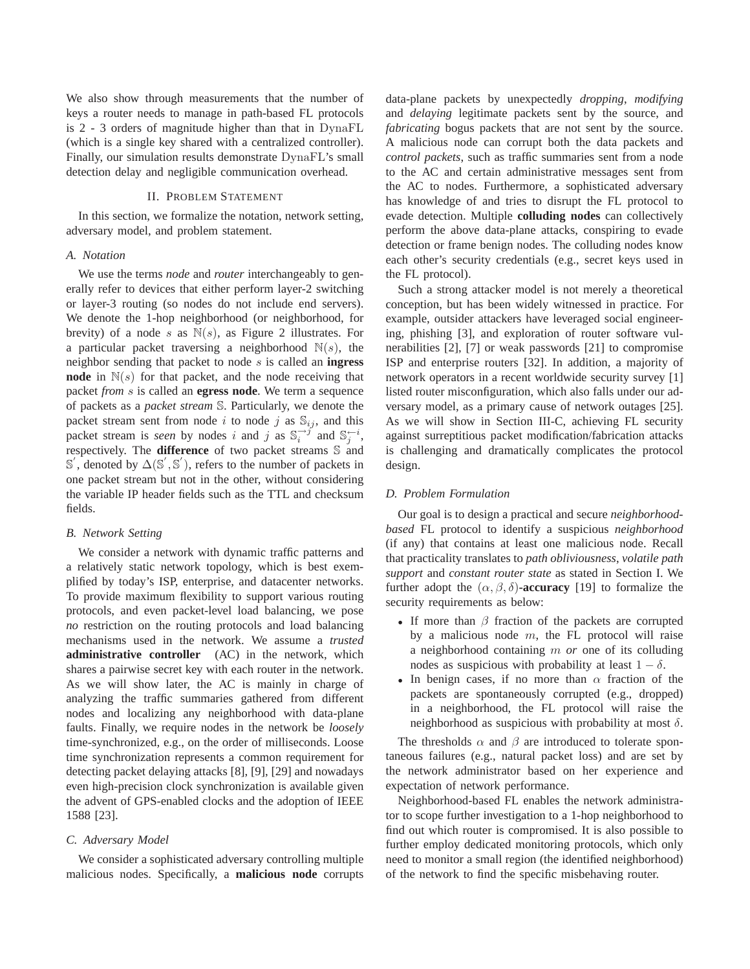We also show through measurements that the number of keys a router needs to manage in path-based FL protocols is 2 - 3 orders of magnitude higher than that in DynaFL (which is a single key shared with a centralized controller). Finally, our simulation results demonstrate DynaFL's small detection delay and negligible communication overhead.

## II. PROBLEM STATEMENT

In this section, we formalize the notation, network setting, adversary model, and problem statement.

#### *A. Notation*

We use the terms *node* and *router* interchangeably to generally refer to devices that either perform layer-2 switching or layer-3 routing (so nodes do not include end servers). We denote the 1-hop neighborhood (or neighborhood, for brevity) of a node s as  $N(s)$ , as Figure 2 illustrates. For a particular packet traversing a neighborhood  $\mathbb{N}(s)$ , the neighbor sending that packet to node s is called an **ingress node** in  $N(s)$  for that packet, and the node receiving that packet *from* s is called an **egress node**. We term a sequence of packets as a *packet stream* S. Particularly, we denote the packet stream sent from node i to node j as  $\mathbb{S}_{ij}$ , and this packet stream is *seen* by nodes i and j as  $\mathbb{S}_i^{-j}$  and  $\mathbb{S}_j^{-i}$ , respectively. The **difference** of two packet streams S and  $\mathbb{S}'$ , denoted by  $\Delta(\mathbb{S}', \mathbb{S}')$ , refers to the number of packets in one packet stream but not in the other, without considering the variable IP header fields such as the TTL and checksum fields.

## *B. Network Setting*

We consider a network with dynamic traffic patterns and a relatively static network topology, which is best exemplified by today's ISP, enterprise, and datacenter networks. To provide maximum flexibility to support various routing protocols, and even packet-level load balancing, we pose *no* restriction on the routing protocols and load balancing mechanisms used in the network. We assume a *trusted* **administrative controller** (AC) in the network, which shares a pairwise secret key with each router in the network. As we will show later, the AC is mainly in charge of analyzing the traffic summaries gathered from different nodes and localizing any neighborhood with data-plane faults. Finally, we require nodes in the network be *loosely* time-synchronized, e.g., on the order of milliseconds. Loose time synchronization represents a common requirement for detecting packet delaying attacks [8], [9], [29] and nowadays even high-precision clock synchronization is available given the advent of GPS-enabled clocks and the adoption of IEEE 1588 [23].

#### *C. Adversary Model*

We consider a sophisticated adversary controlling multiple malicious nodes. Specifically, a **malicious node** corrupts data-plane packets by unexpectedly *dropping*, *modifying* and *delaying* legitimate packets sent by the source, and *fabricating* bogus packets that are not sent by the source. A malicious node can corrupt both the data packets and *control packets*, such as traffic summaries sent from a node to the AC and certain administrative messages sent from the AC to nodes. Furthermore, a sophisticated adversary has knowledge of and tries to disrupt the FL protocol to evade detection. Multiple **colluding nodes** can collectively perform the above data-plane attacks, conspiring to evade detection or frame benign nodes. The colluding nodes know each other's security credentials (e.g., secret keys used in the FL protocol).

Such a strong attacker model is not merely a theoretical conception, but has been widely witnessed in practice. For example, outsider attackers have leveraged social engineering, phishing [3], and exploration of router software vulnerabilities [2], [7] or weak passwords [21] to compromise ISP and enterprise routers [32]. In addition, a majority of network operators in a recent worldwide security survey [1] listed router misconfiguration, which also falls under our adversary model, as a primary cause of network outages [25]. As we will show in Section III-C, achieving FL security against surreptitious packet modification/fabrication attacks is challenging and dramatically complicates the protocol design.

#### *D. Problem Formulation*

Our goal is to design a practical and secure *neighborhoodbased* FL protocol to identify a suspicious *neighborhood* (if any) that contains at least one malicious node. Recall that practicality translates to *path obliviousness*, *volatile path support* and *constant router state* as stated in Section I. We further adopt the  $(\alpha, \beta, \delta)$ **-accuracy** [19] to formalize the security requirements as below:

- If more than  $\beta$  fraction of the packets are corrupted by a malicious node  $m$ , the FL protocol will raise a neighborhood containing m *or* one of its colluding nodes as suspicious with probability at least  $1 - \delta$ .
- In benign cases, if no more than  $\alpha$  fraction of the packets are spontaneously corrupted (e.g., dropped) in a neighborhood, the FL protocol will raise the neighborhood as suspicious with probability at most  $\delta$ .

The thresholds  $\alpha$  and  $\beta$  are introduced to tolerate spontaneous failures (e.g., natural packet loss) and are set by the network administrator based on her experience and expectation of network performance.

Neighborhood-based FL enables the network administrator to scope further investigation to a 1-hop neighborhood to find out which router is compromised. It is also possible to further employ dedicated monitoring protocols, which only need to monitor a small region (the identified neighborhood) of the network to find the specific misbehaving router.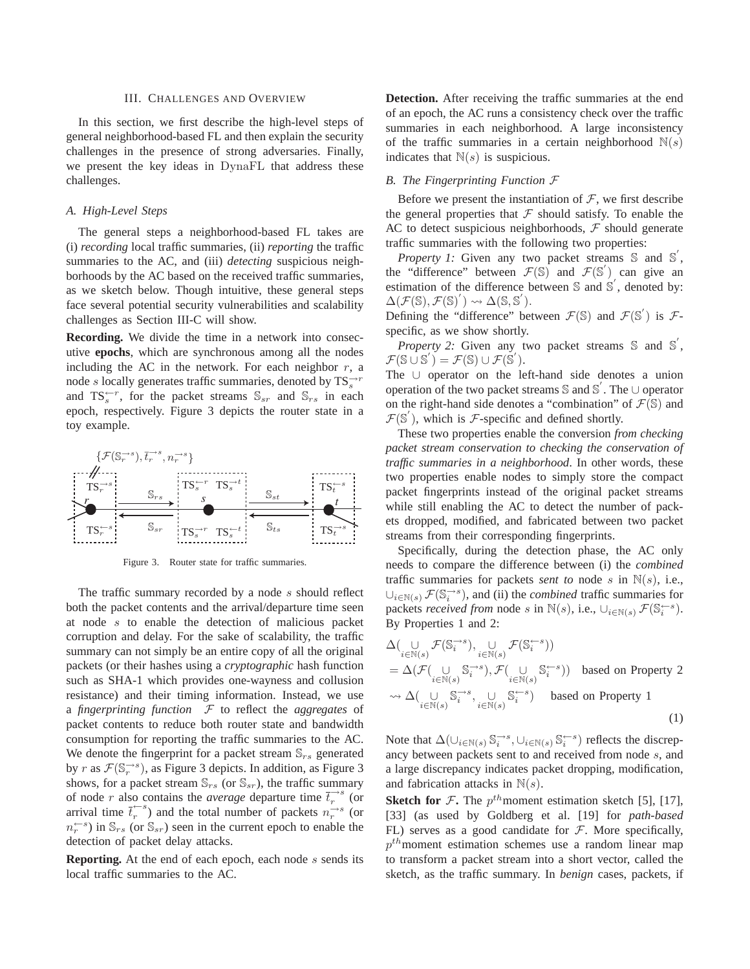## III. CHALLENGES AND OVERVIEW

In this section, we first describe the high-level steps of general neighborhood-based FL and then explain the security challenges in the presence of strong adversaries. Finally, we present the key ideas in DynaFL that address these challenges.

## *A. High-Level Steps*

The general steps a neighborhood-based FL takes are (i) *recording* local traffic summaries, (ii) *reporting* the traffic summaries to the AC, and (iii) *detecting* suspicious neighborhoods by the AC based on the received traffic summaries, as we sketch below. Though intuitive, these general steps face several potential security vulnerabilities and scalability challenges as Section III-C will show.

**Recording.** We divide the time in a network into consecutive **epochs**, which are synchronous among all the nodes including the AC in the network. For each neighbor  $r$ , a node s locally generates traffic summaries, denoted by  $TS_s^{\rightarrow r}$ and  $TS_s^{\leftarrow r}$ , for the packet streams  $\mathbb{S}_{sr}$  and  $\mathbb{S}_{rs}$  in each epoch, respectively. Figure 3 depicts the router state in a toy example.



Figure 3. Router state for traffic summaries.

The traffic summary recorded by a node s should reflect both the packet contents and the arrival/departure time seen at node s to enable the detection of malicious packet corruption and delay. For the sake of scalability, the traffic summary can not simply be an entire copy of all the original packets (or their hashes using a *cryptographic* hash function such as SHA-1 which provides one-wayness and collusion resistance) and their timing information. Instead, we use a *fingerprinting function* F to reflect the *aggregates* of packet contents to reduce both router state and bandwidth consumption for reporting the traffic summaries to the AC. We denote the fingerprint for a packet stream  $\mathbb{S}_{rs}$  generated by r as  $\mathcal{F}(\mathbb{S}_r^{\to s})$ , as Figure 3 depicts. In addition, as Figure 3 shows, for a packet stream  $\mathbb{S}_{rs}$  (or  $\mathbb{S}_{sr}$ ), the traffic summary of node r also contains the *average* departure time  $\overrightarrow{t}_r^{-s}$  (or arrival time  $\bar{t}_r^{\leftarrow s}$ ) and the total number of packets  $n_r^{\rightarrow s}$  (or  $n_r^{(-s)}$  in  $\mathbb{S}_{rs}$  (or  $\mathbb{S}_{sr}$ ) seen in the current epoch to enable the detection of packet delay attacks.

**Reporting.** At the end of each epoch, each node s sends its local traffic summaries to the AC.

**Detection.** After receiving the traffic summaries at the end of an epoch, the AC runs a consistency check over the traffic summaries in each neighborhood. A large inconsistency of the traffic summaries in a certain neighborhood  $N(s)$ indicates that  $N(s)$  is suspicious.

#### *B. The Fingerprinting Function* F

Before we present the instantiation of  $F$ , we first describe the general properties that  $\mathcal F$  should satisfy. To enable the AC to detect suspicious neighborhoods,  $F$  should generate traffic summaries with the following two properties:

*Property 1:* Given any two packet streams  $\mathbb{S}$  and  $\mathbb{S}'$ , the "difference" between  $\mathcal{F}(\mathbb{S})$  and  $\mathcal{F}(\mathbb{S}')$  can give an estimation of the difference between  $\mathbb S$  and  $\mathbb S'$ , denoted by:  $\Delta(\mathcal{F}(\mathbb{S}), \mathcal{F}(\mathbb{S})^{'}) \rightsquigarrow \Delta(\mathbb{S}, \mathbb{S}^{'}).$ 

Defining the "difference" between  $\mathcal{F}(\mathbb{S})$  and  $\mathcal{F}(\mathbb{S}')$  is  $\mathcal{F}$ specific, as we show shortly.

*Property 2:* Given any two packet streams S and S',  $\mathcal{F}(\mathbb{S} \cup \mathbb{S}') = \mathcal{F}(\mathbb{S}) \cup \mathcal{F}(\mathbb{S}').$ 

The ∪ operator on the left-hand side denotes a union operation of the two packet streams S and S ′ . The ∪ operator on the right-hand side denotes a "combination" of  $\mathcal{F}(\mathbb{S})$  and  $\mathcal{F}(\mathbb{S}')$ , which is *F*-specific and defined shortly.

These two properties enable the conversion *from checking packet stream conservation to checking the conservation of traffic summaries in a neighborhood*. In other words, these two properties enable nodes to simply store the compact packet fingerprints instead of the original packet streams while still enabling the AC to detect the number of packets dropped, modified, and fabricated between two packet streams from their corresponding fingerprints.

Specifically, during the detection phase, the AC only needs to compare the difference between (i) the *combined* traffic summaries for packets *sent to* node s in  $\mathbb{N}(s)$ , i.e.,  $\bigcup_{i \in \mathbb{N}(s)} \mathcal{F}(\mathbb{S}_i^{-s})$ , and (ii) the *combined* traffic summaries for packets *received from* node s in  $\mathbb{N}(s)$ , i.e.,  $\cup_{i \in \mathbb{N}(s)} \mathcal{F}(\mathbb{S}_i^{\leftarrow s})$ . By Properties 1 and 2:

$$
\begin{split} &\Delta(\underset{i\in\mathbb{N}(s)}{\cup}\mathcal{F}(\mathbb{S}_{i}^{\rightarrow s}),\underset{i\in\mathbb{N}(s)}{\cup}\mathcal{F}(\mathbb{S}_{i}^{\leftarrow s}))\\ &=\Delta(\mathcal{F}(\underset{i\in\mathbb{N}(s)}{\cup}\mathbb{S}_{i}^{\rightarrow s}),\mathcal{F}(\underset{i\in\mathbb{N}(s)}{\cup}\mathbb{S}_{i}^{\leftarrow s}))\quad\text{based on Property 2}\\ &\leadsto\Delta(\underset{i\in\mathbb{N}(s)}{\cup}\mathbb{S}_{i}^{\rightarrow s},\underset{i\in\mathbb{N}(s)}{\cup}\mathbb{S}_{i}^{\leftarrow s})\quad\text{based on Property 1}\end{split} \tag{1}
$$

Note that  $\Delta(\cup_{i\in\mathbb{N}(s)}\mathbb{S}_i^{\rightarrow s},\cup_{i\in\mathbb{N}(s)}\mathbb{S}_i^{\leftarrow s})$  reflects the discrepancy between packets sent to and received from node s, and a large discrepancy indicates packet dropping, modification, and fabrication attacks in  $N(s)$ .

**Sketch for**  $\mathcal{F}$ . The  $p^{th}$  moment estimation sketch [5], [17], [33] (as used by Goldberg et al. [19] for *path-based* FL) serves as a good candidate for  $F$ . More specifically,  $p^{th}$ moment estimation schemes use a random linear map to transform a packet stream into a short vector, called the sketch, as the traffic summary. In *benign* cases, packets, if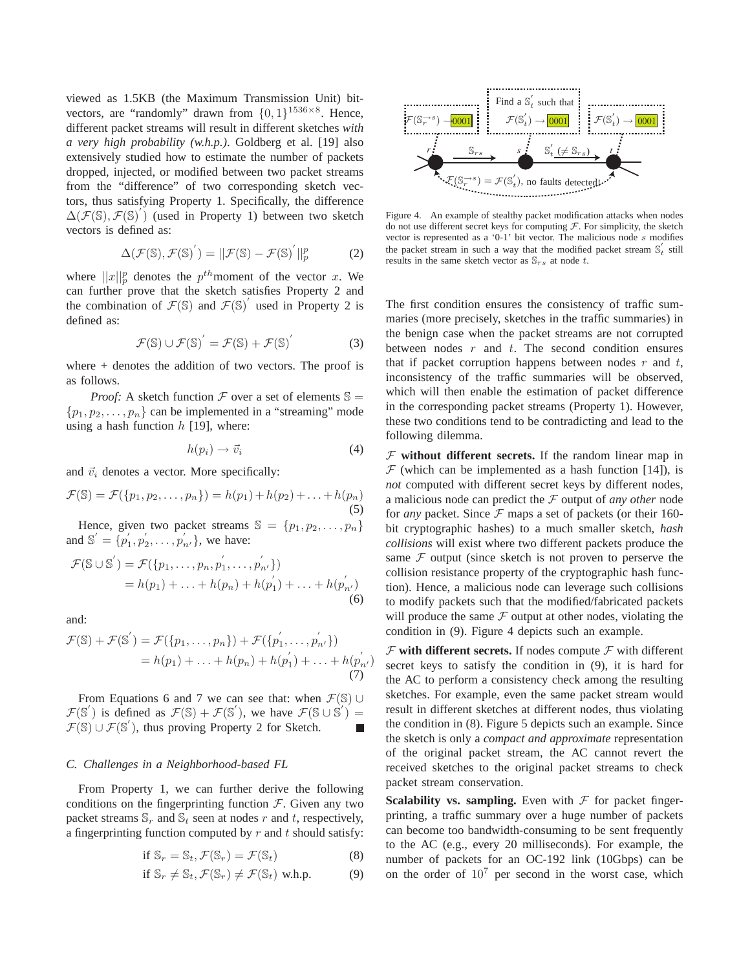viewed as 1.5KB (the Maximum Transmission Unit) bitvectors, are "randomly" drawn from  $\{0,1\}^{1536\times8}$ . Hence, different packet streams will result in different sketches *with a very high probability (w.h.p.)*. Goldberg et al. [19] also extensively studied how to estimate the number of packets dropped, injected, or modified between two packet streams from the "difference" of two corresponding sketch vectors, thus satisfying Property 1. Specifically, the difference ′  $\Delta(\mathcal{F}(\mathbb{S}), \mathcal{F}(\mathbb{S})')$  (used in Property 1) between two sketch vectors is defined as:

$$
\Delta(\mathcal{F}(\mathbb{S}), \mathcal{F}(\mathbb{S})') = ||\mathcal{F}(\mathbb{S}) - \mathcal{F}(\mathbb{S})'||_p^p \tag{2}
$$

where  $||x||_p^p$  denotes the  $p^{th}$ moment of the vector x. We can further prove that the sketch satisfies Property 2 and the combination of  $\mathcal{F}(\mathbb{S})$  and  $\mathcal{F}(\mathbb{S})'$  used in Property 2 is defined as:

$$
\mathcal{F}(\mathbb{S}) \cup \mathcal{F}(\mathbb{S})^{'} = \mathcal{F}(\mathbb{S}) + \mathcal{F}(\mathbb{S})^{'} \tag{3}
$$

where  $+$  denotes the addition of two vectors. The proof is as follows.

*Proof:* A sketch function  $F$  over a set of elements  $\mathbb{S} =$  $\{p_1, p_2, \ldots, p_n\}$  can be implemented in a "streaming" mode using a hash function  $h$  [19], where:

$$
h(p_i) \to \vec{v}_i \tag{4}
$$

and  $\vec{v}_i$  denotes a vector. More specifically:

$$
\mathcal{F}(\mathbb{S}) = \mathcal{F}(\{p_1, p_2, \dots, p_n\}) = h(p_1) + h(p_2) + \dots + h(p_n)
$$
\n(5)

Hence, given two packet streams  $\mathbb{S} = \{p_1, p_2, \ldots, p_n\}$ and  $\mathbb{S}' = \{p'_1\}$  $'_{1}, p'_{2}$  $\langle v'_1, \ldots, v'_{n'} \rangle$ , we have:

$$
\mathcal{F}(\mathbb{S} \cup \mathbb{S}') = \mathcal{F}(\{p_1, \dots, p_n, p'_1, \dots, p'_{n'}\})
$$
  
=  $h(p_1) + \dots + h(p_n) + h(p'_1) + \dots + h(p'_{n'})$   
(6)

and:

$$
\mathcal{F}(\mathbb{S}) + \mathcal{F}(\mathbb{S}') = \mathcal{F}(\{p_1, \ldots, p_n\}) + \mathcal{F}(\{p'_1, \ldots, p'_{n'}\})
$$
  
=  $h(p_1) + \ldots + h(p_n) + h(p'_1) + \ldots + h(p'_{n'})$  (7)

From Equations 6 and 7 we can see that: when  $\mathcal{F}(\mathbb{S}) \cup$  $\mathcal{F}(\mathbb{S}^{\prime})$  is defined as  $\mathcal{F}(\mathbb{S}) + \mathcal{F}(\mathbb{S}^{\prime})$ , we have  $\mathcal{F}(\mathbb{S} \cup \mathbb{S}^{\prime}) =$  $\mathcal{F}(\mathbb{S}) \cup \mathcal{F}(\mathbb{S}')$ , thus proving Property 2 for Sketch.

# *C. Challenges in a Neighborhood-based FL*

From Property 1, we can further derive the following conditions on the fingerprinting function  $\mathcal F$ . Given any two packet streams  $\mathbb{S}_r$  and  $\mathbb{S}_t$  seen at nodes r and t, respectively, a fingerprinting function computed by  $r$  and  $t$  should satisfy:

$$
\text{if } \mathbb{S}_r = \mathbb{S}_t, \mathcal{F}(\mathbb{S}_r) = \mathcal{F}(\mathbb{S}_t) \tag{8}
$$

$$
\text{if } \mathbb{S}_r \neq \mathbb{S}_t, \mathcal{F}(\mathbb{S}_r) \neq \mathcal{F}(\mathbb{S}_t) \text{ w.h.p.}
$$
 (9)



Figure 4. An example of stealthy packet modification attacks when nodes do not use different secret keys for computing  $\mathcal F$ . For simplicity, the sketch vector is represented as a '0-1' bit vector. The malicious node s modifies the packet stream in such a way that the modified packet stream  $\mathbb{S}'_t$  still results in the same sketch vector as  $\mathbb{S}_{rs}$  at node t.

The first condition ensures the consistency of traffic summaries (more precisely, sketches in the traffic summaries) in the benign case when the packet streams are not corrupted between nodes  $r$  and  $t$ . The second condition ensures that if packet corruption happens between nodes  $r$  and  $t$ , inconsistency of the traffic summaries will be observed, which will then enable the estimation of packet difference in the corresponding packet streams (Property 1). However, these two conditions tend to be contradicting and lead to the following dilemma.

 $F$  without different secrets. If the random linear map in  $F$  (which can be implemented as a hash function [14]), is *not* computed with different secret keys by different nodes, a malicious node can predict the F output of *any other* node for *any* packet. Since  $\mathcal F$  maps a set of packets (or their 160bit cryptographic hashes) to a much smaller sketch, *hash collisions* will exist where two different packets produce the same  $F$  output (since sketch is not proven to perserve the collision resistance property of the cryptographic hash function). Hence, a malicious node can leverage such collisions to modify packets such that the modified/fabricated packets will produce the same  $F$  output at other nodes, violating the condition in (9). Figure 4 depicts such an example.

 $\mathcal F$  with different secrets. If nodes compute  $\mathcal F$  with different secret keys to satisfy the condition in (9), it is hard for the AC to perform a consistency check among the resulting sketches. For example, even the same packet stream would result in different sketches at different nodes, thus violating the condition in (8). Figure 5 depicts such an example. Since the sketch is only a *compact and approximate* representation of the original packet stream, the AC cannot revert the received sketches to the original packet streams to check packet stream conservation.

**Scalability vs. sampling.** Even with  $\mathcal F$  for packet fingerprinting, a traffic summary over a huge number of packets can become too bandwidth-consuming to be sent frequently to the AC (e.g., every 20 milliseconds). For example, the number of packets for an OC-192 link (10Gbps) can be on the order of  $10^7$  per second in the worst case, which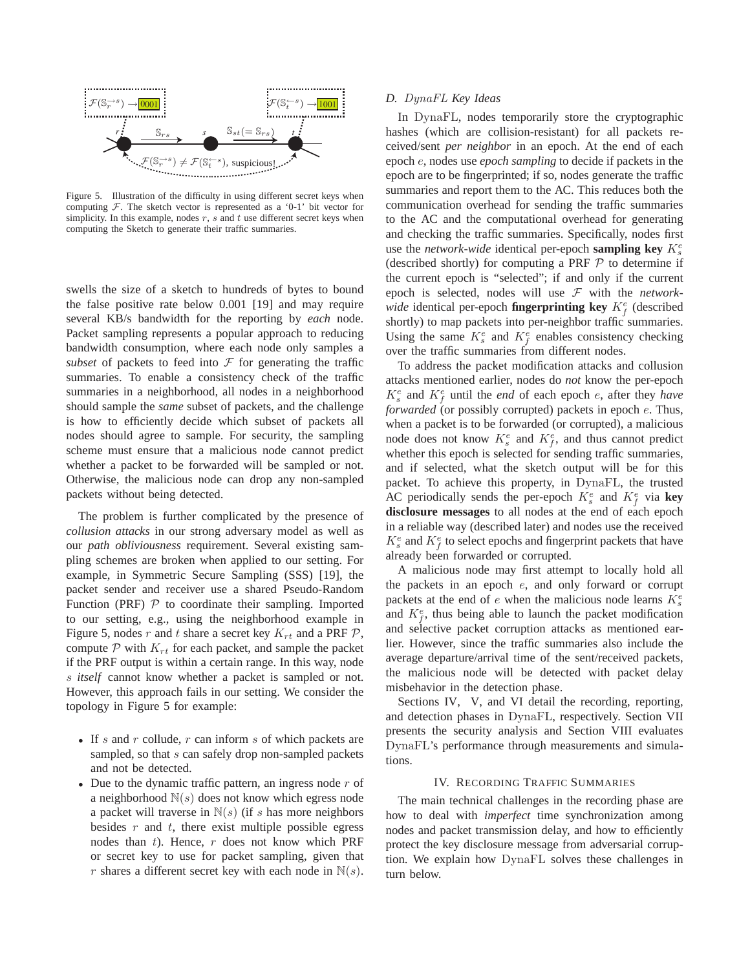

Figure 5. Illustration of the difficulty in using different secret keys when computing  $F$ . The sketch vector is represented as a '0-1' bit vector for simplicity. In this example, nodes  $r$ ,  $s$  and  $t$  use different secret keys when computing the Sketch to generate their traffic summaries.

swells the size of a sketch to hundreds of bytes to bound the false positive rate below 0.001 [19] and may require several KB/s bandwidth for the reporting by *each* node. Packet sampling represents a popular approach to reducing bandwidth consumption, where each node only samples a *subset* of packets to feed into  $F$  for generating the traffic summaries. To enable a consistency check of the traffic summaries in a neighborhood, all nodes in a neighborhood should sample the *same* subset of packets, and the challenge is how to efficiently decide which subset of packets all nodes should agree to sample. For security, the sampling scheme must ensure that a malicious node cannot predict whether a packet to be forwarded will be sampled or not. Otherwise, the malicious node can drop any non-sampled packets without being detected.

The problem is further complicated by the presence of *collusion attacks* in our strong adversary model as well as our *path obliviousness* requirement. Several existing sampling schemes are broken when applied to our setting. For example, in Symmetric Secure Sampling (SSS) [19], the packet sender and receiver use a shared Pseudo-Random Function (PRF)  $P$  to coordinate their sampling. Imported to our setting, e.g., using the neighborhood example in Figure 5, nodes r and t share a secret key  $K_{rt}$  and a PRF  $P$ , compute  $P$  with  $K_{rt}$  for each packet, and sample the packet if the PRF output is within a certain range. In this way, node s *itself* cannot know whether a packet is sampled or not. However, this approach fails in our setting. We consider the topology in Figure 5 for example:

- If s and r collude, r can inform s of which packets are sampled, so that s can safely drop non-sampled packets and not be detected.
- Due to the dynamic traffic pattern, an ingress node  $r$  of a neighborhood  $N(s)$  does not know which egress node a packet will traverse in  $N(s)$  (if s has more neighbors besides  $r$  and  $t$ , there exist multiple possible egress nodes than t). Hence, r does not know which PRF or secret key to use for packet sampling, given that r shares a different secret key with each node in  $\mathbb{N}(s)$ .

#### *D.* DynaFL *Key Ideas*

In DynaFL, nodes temporarily store the cryptographic hashes (which are collision-resistant) for all packets received/sent *per neighbor* in an epoch. At the end of each epoch e, nodes use *epoch sampling* to decide if packets in the epoch are to be fingerprinted; if so, nodes generate the traffic summaries and report them to the AC. This reduces both the communication overhead for sending the traffic summaries to the AC and the computational overhead for generating and checking the traffic summaries. Specifically, nodes first use the *network-wide* identical per-epoch **sampling key**  $K_s^e$ (described shortly) for computing a PRF  $P$  to determine if the current epoch is "selected"; if and only if the current epoch is selected, nodes will use F with the *networkwide* identical per-epoch **fingerprinting key**  $K_f^e$  (described shortly) to map packets into per-neighbor traffic summaries. Using the same  $K_s^e$  and  $K_f^e$  enables consistency checking over the traffic summaries from different nodes.

To address the packet modification attacks and collusion attacks mentioned earlier, nodes do *not* know the per-epoch  $K_s^e$  and  $K_f^e$  until the *end* of each epoch *e*, after they *have forwarded* (or possibly corrupted) packets in epoch  $e$ . Thus, when a packet is to be forwarded (or corrupted), a malicious node does not know  $K_s^e$  and  $K_f^e$ , and thus cannot predict whether this epoch is selected for sending traffic summaries, and if selected, what the sketch output will be for this packet. To achieve this property, in DynaFL, the trusted AC periodically sends the per-epoch  $K_s^e$  and  $K_f^e$  via key **disclosure messages** to all nodes at the end of each epoch in a reliable way (described later) and nodes use the received  $K_s^e$  and  $K_f^e$  to select epochs and fingerprint packets that have already been forwarded or corrupted.

A malicious node may first attempt to locally hold all the packets in an epoch e, and only forward or corrupt packets at the end of e when the malicious node learns  $K_s^e$ and  $K_f^e$ , thus being able to launch the packet modification and selective packet corruption attacks as mentioned earlier. However, since the traffic summaries also include the average departure/arrival time of the sent/received packets, the malicious node will be detected with packet delay misbehavior in the detection phase.

Sections IV, V, and VI detail the recording, reporting, and detection phases in DynaFL, respectively. Section VII presents the security analysis and Section VIII evaluates DynaFL's performance through measurements and simulations.

#### IV. RECORDING TRAFFIC SUMMARIES

The main technical challenges in the recording phase are how to deal with *imperfect* time synchronization among nodes and packet transmission delay, and how to efficiently protect the key disclosure message from adversarial corruption. We explain how DynaFL solves these challenges in turn below.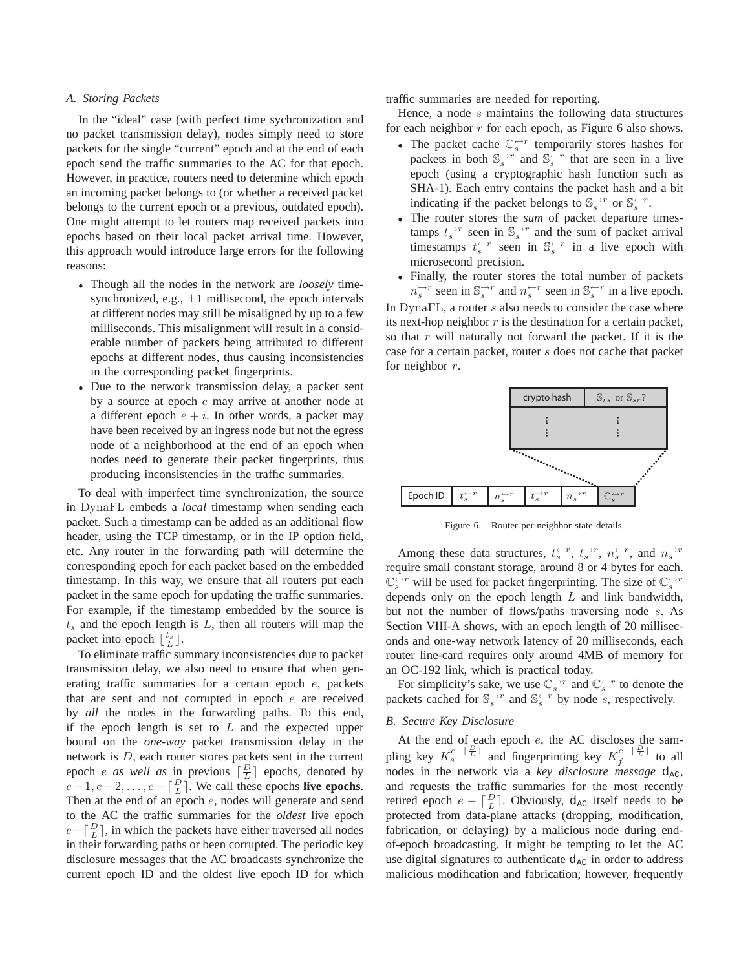# *A. Storing Packets*

In the "ideal" case (with perfect time sychronization and no packet transmission delay), nodes simply need to store packets for the single "current" epoch and at the end of each epoch send the traffic summaries to the AC for that epoch. However, in practice, routers need to determine which epoch an incoming packet belongs to (or whether a received packet belongs to the current epoch or a previous, outdated epoch). One might attempt to let routers map received packets into epochs based on their local packet arrival time. However, this approach would introduce large errors for the following reasons:

- Though all the nodes in the network are *loosely* timesynchronized, e.g.,  $\pm 1$  millisecond, the epoch intervals at different nodes may still be misaligned by up to a few milliseconds. This misalignment will result in a considerable number of packets being attributed to different epochs at different nodes, thus causing inconsistencies in the corresponding packet fingerprints.
- Due to the network transmission delay, a packet sent by a source at epoch e may arrive at another node at a different epoch  $e + i$ . In other words, a packet may have been received by an ingress node but not the egress node of a neighborhood at the end of an epoch when nodes need to generate their packet fingerprints, thus producing inconsistencies in the traffic summaries.

To deal with imperfect time synchronization, the source in DynaFL embeds a *local* timestamp when sending each packet. Such a timestamp can be added as an additional flow header, using the TCP timestamp, or in the IP option field, etc. Any router in the forwarding path will determine the corresponding epoch for each packet based on the embedded timestamp. In this way, we ensure that all routers put each packet in the same epoch for updating the traffic summaries. For example, if the timestamp embedded by the source is  $t<sub>s</sub>$  and the epoch length is  $L$ , then all routers will map the packet into epoch  $\lfloor \frac{t_s}{L} \rfloor$ .

To eliminate traffic summary inconsistencies due to packet transmission delay, we also need to ensure that when generating traffic summaries for a certain epoch e, packets that are sent and not corrupted in epoch  $e$  are received by *all* the nodes in the forwarding paths. To this end, if the epoch length is set to  $L$  and the expected upper bound on the *one-way* packet transmission delay in the network is D, each router stores packets sent in the current epoch *e as well as* in previous  $\lceil \frac{D}{L} \rceil$  epochs, denoted by  $e-1, e-2, \ldots, e-\lceil \frac{D}{L} \rceil$ . We call these epochs **live epochs**. Then at the end of an epoch e, nodes will generate and send to the AC the traffic summaries for the *oldest* live epoch  $e - \left\lceil \frac{D}{L} \right\rceil$ , in which the packets have either traversed all nodes in their forwarding paths or been corrupted. The periodic key disclosure messages that the AC broadcasts synchronize the current epoch ID and the oldest live epoch ID for which traffic summaries are needed for reporting.

Hence, a node s maintains the following data structures for each neighbor  $r$  for each epoch, as Figure 6 also shows.

- The packet cache  $\mathbb{C}_s^{\leftrightarrow r}$  temporarily stores hashes for packets in both  $\mathbb{S}_s^{\rightharpoonup r}$  and  $\mathbb{S}_s^{\rightharpoonup r}$  that are seen in a live epoch (using a cryptographic hash function such as SHA-1). Each entry contains the packet hash and a bit indicating if the packet belongs to  $\mathbb{S}_s^{\rightarrow r}$  or  $\mathbb{S}_s^{\leftarrow r}$ .
- The router stores the *sum* of packet departure timestamps  $t_s^{-r}$  seen in  $\mathbb{S}_s^{-r}$  and the sum of packet arrival timestamps  $t_s^{r-r}$  seen in  $\mathbb{S}_s^{r-r}$  in a live epoch with microsecond precision.
- Finally, the router stores the total number of packets  $n_s^{\rightarrow r}$  seen in  $\mathbb{S}_s^{\rightarrow r}$  and  $n_s^{\leftarrow r}$  seen in  $\mathbb{S}_s^{\leftarrow r}$  in a live epoch.

In DynaFL, a router s also needs to consider the case where its next-hop neighbor  $r$  is the destination for a certain packet, so that  $r$  will naturally not forward the packet. If it is the case for a certain packet, router s does not cache that packet for neighbor r.



Figure 6. Router per-neighbor state details.

Among these data structures,  $t_s^{\leftarrow r}$ ,  $t_s^{\rightarrow r}$ ,  $n_s^{\leftarrow r}$ , and  $n_s^{\rightarrow r}$ require small constant storage, around 8 or 4 bytes for each.  $\mathbb{C}_s^{\leftrightarrow r}$  will be used for packet fingerprinting. The size of  $\mathbb{C}_s^{\leftrightarrow r}$ depends only on the epoch length  $L$  and link bandwidth, but not the number of flows/paths traversing node s. As Section VIII-A shows, with an epoch length of 20 milliseconds and one-way network latency of 20 milliseconds, each router line-card requires only around 4MB of memory for an OC-192 link, which is practical today.

For simplicity's sake, we use  $\mathbb{C}_s^{\to r}$  and  $\mathbb{C}_s^{\leftarrow r}$  to denote the packets cached for  $\mathbb{S}_s^{-r}$  and  $\mathbb{S}_s^{r}$  by node s, respectively.

# *B. Secure Key Disclosure*

At the end of each epoch  $e$ , the AC discloses the sampling key  $K_s^{e-\lceil \frac{D}{L} \rceil}$  and fingerprinting key  $K_f^{e-\lceil \frac{D}{L} \rceil}$  $\int_{f}^{\epsilon - \vert \tau \vert}$  to all nodes in the network via a *key disclosure message*  $d_{AC}$ , and requests the traffic summaries for the most recently retired epoch  $e - \left\lceil \frac{D}{L} \right\rceil$ . Obviously,  $d_{AC}$  itself needs to be protected from data-plane attacks (dropping, modification, fabrication, or delaying) by a malicious node during endof-epoch broadcasting. It might be tempting to let the AC use digital signatures to authenticate  $d_{AC}$  in order to address malicious modification and fabrication; however, frequently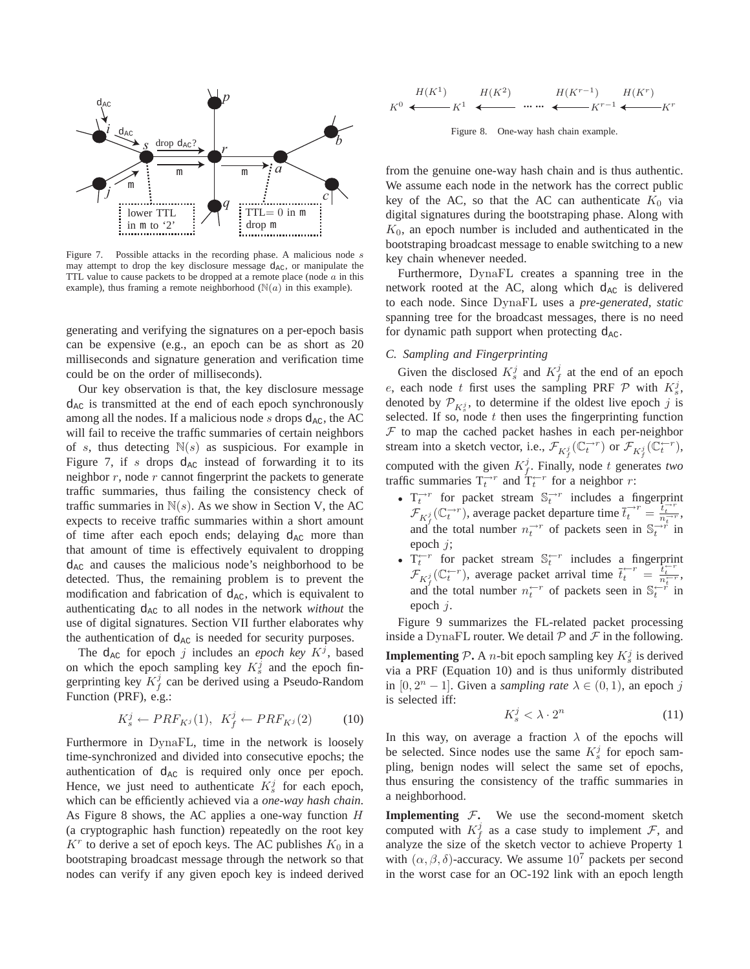

Figure 7. Possible attacks in the recording phase. A malicious node s may attempt to drop the key disclosure message d<sub>AC</sub>, or manipulate the TTL value to cause packets to be dropped at a remote place (node  $a$  in this example), thus framing a remote neighborhood  $(\mathbb{N}(a))$  in this example).

generating and verifying the signatures on a per-epoch basis can be expensive (e.g., an epoch can be as short as 20 milliseconds and signature generation and verification time could be on the order of milliseconds).

Our key observation is that, the key disclosure message  $d_{AC}$  is transmitted at the end of each epoch synchronously among all the nodes. If a malicious node s drops  $d_{AC}$ , the AC will fail to receive the traffic summaries of certain neighbors of s, thus detecting  $N(s)$  as suspicious. For example in Figure 7, if s drops  $d_{AC}$  instead of forwarding it to its neighbor  $r$ , node  $r$  cannot fingerprint the packets to generate traffic summaries, thus failing the consistency check of traffic summaries in  $N(s)$ . As we show in Section V, the AC expects to receive traffic summaries within a short amount of time after each epoch ends; delaying  $d_{AC}$  more than that amount of time is effectively equivalent to dropping  $d_{AC}$  and causes the malicious node's neighborhood to be detected. Thus, the remaining problem is to prevent the modification and fabrication of  $d_{AC}$ , which is equivalent to authenticating  $d_{AC}$  to all nodes in the network *without* the use of digital signatures. Section VII further elaborates why the authentication of  $d_{AC}$  is needed for security purposes.

The  $d_{AC}$  for epoch j includes an *epoch key K<sup>j</sup>*, based on which the epoch sampling key  $K_s^j$  and the epoch fingerprinting key  $K_f^j$  can be derived using a Pseudo-Random Function (PRF), e.g.:

$$
K_s^j \leftarrow PRF_{K^j}(1), \ K_f^j \leftarrow PRF_{K^j}(2) \tag{10}
$$

Furthermore in DynaFL, time in the network is loosely time-synchronized and divided into consecutive epochs; the authentication of  $d_{AC}$  is required only once per epoch. Hence, we just need to authenticate  $K_s^j$  for each epoch, which can be efficiently achieved via a *one-way hash chain*. As Figure 8 shows, the AC applies a one-way function  $H$ (a cryptographic hash function) repeatedly on the root key  $K<sup>r</sup>$  to derive a set of epoch keys. The AC publishes  $K<sub>0</sub>$  in a bootstraping broadcast message through the network so that nodes can verify if any given epoch key is indeed derived

$$
K^0 \longleftarrow K^1 \longleftarrow H(K^2) \qquad \cdots \qquad H(K^{r-1}) \qquad H(K^r)
$$
\n
$$
K^0 \longleftarrow K^1 \longleftarrow K^r \longleftarrow K^{r-1} \longleftarrow K^r
$$

Figure 8. One-way hash chain example.

from the genuine one-way hash chain and is thus authentic. We assume each node in the network has the correct public key of the AC, so that the AC can authenticate  $K_0$  via digital signatures during the bootstraping phase. Along with  $K<sub>0</sub>$ , an epoch number is included and authenticated in the bootstraping broadcast message to enable switching to a new key chain whenever needed.

Furthermore, DynaFL creates a spanning tree in the network rooted at the AC, along which  $d_{AC}$  is delivered to each node. Since DynaFL uses a *pre-generated, static* spanning tree for the broadcast messages, there is no need for dynamic path support when protecting  $d_{AC}$ .

#### *C. Sampling and Fingerprinting*

Given the disclosed  $K_s^j$  and  $K_f^j$  at the end of an epoch e, each node t first uses the sampling PRF  $P$  with  $K_s^j$ , denoted by  $\mathcal{P}_{K_s^j}$ , to determine if the oldest live epoch j is selected. If so, node  $t$  then uses the fingerprinting function  $F$  to map the cached packet hashes in each per-neighbor stream into a sketch vector, i.e.,  $\mathcal{F}_{K_f^j}(\mathbb{C}_t^{\to r})$  or  $\mathcal{F}_{K_f^j}(\mathbb{C}_t^{\leftarrow r})$ , computed with the given  $K_f^j$ . Finally, node t generates two traffic summaries  $T_t^{-r}$  and  $T_t^{r-r}$  for a neighbor r:

- $T_t^{-r}$  for packet stream  $\mathbb{S}_t^{-r}$  includes a fingerprint  $\mathcal{F}_{K_f^j}(\mathbb{C}_t^{r,r})$ , average packet departure time  $\overline{t}_t^{r+r} = \frac{t_t^{r+r}}{n_t^{r+r}}$ and the total number  $n_t^{-r}$  of packets seen in  $\mathbb{S}^{r}_{t}$  in epoch j;
- $T_t^{\leftarrow r}$  for packet stream  $\mathbb{S}_t^{\leftarrow r}$  includes a fingerprint  $\mathcal{F}_{K_f^j}(\mathbb{C}_t^{\leftarrow r})$ , average packet arrival time  $\overline{t}_t^{\leftarrow r} = \frac{t_t^{\leftarrow r}}{n_t^{\leftarrow r}}$ , and the total number  $n_t^{\leftarrow r}$  of packets seen in  $\mathbb{S}_t^{\leftarrow r}$  in epoch j.

Figure 9 summarizes the FL-related packet processing inside a DynaFL router. We detail  $P$  and  $F$  in the following.

**Implementing**  $P$ **.** A *n*-bit epoch sampling key  $K_s^j$  is derived via a PRF (Equation 10) and is thus uniformly distributed in  $[0, 2<sup>n</sup> - 1]$ . Given a *sampling rate*  $\lambda \in (0, 1)$ , an epoch j is selected iff:

$$
K_s^j < \lambda \cdot 2^n \tag{11}
$$

In this way, on average a fraction  $\lambda$  of the epochs will be selected. Since nodes use the same  $K_s^j$  for epoch sampling, benign nodes will select the same set of epochs, thus ensuring the consistency of the traffic summaries in a neighborhood.

**Implementing**  $F$ . We use the second-moment sketch computed with  $K_f^j$  as a case study to implement  $\mathcal{F}$ , and analyze the size of the sketch vector to achieve Property 1 with  $(\alpha, \beta, \delta)$ -accuracy. We assume  $10^7$  packets per second in the worst case for an OC-192 link with an epoch length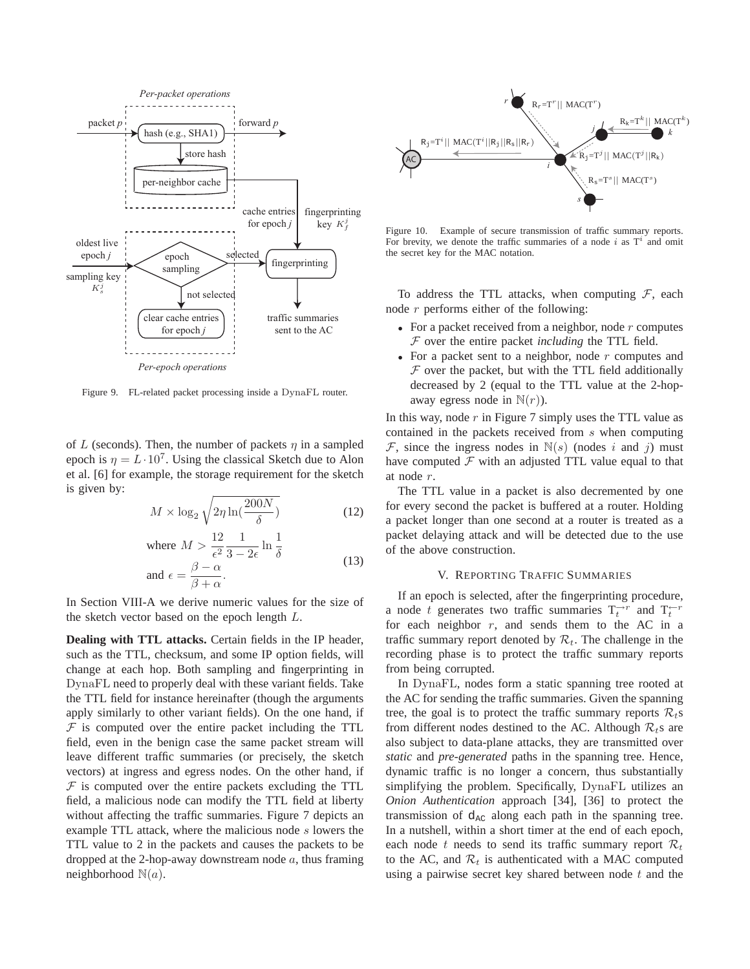

Figure 9. FL-related packet processing inside a DynaFL router.

of L (seconds). Then, the number of packets  $\eta$  in a sampled epoch is  $\eta = L \cdot 10^7$ . Using the classical Sketch due to Alon et al. [6] for example, the storage requirement for the sketch is given by:

$$
M \times \log_2 \sqrt{2\eta \ln(\frac{200N}{\delta})}
$$
 (12)

where 
$$
M > \frac{12}{\epsilon^2} \frac{1}{3 - 2\epsilon} \ln \frac{1}{\delta}
$$
  
and  $\epsilon = \frac{\beta - \alpha}{\beta + \alpha}$ . (13)

In Section VIII-A we derive numeric values for the size of the sketch vector based on the epoch length L.

**Dealing with TTL attacks.** Certain fields in the IP header, such as the TTL, checksum, and some IP option fields, will change at each hop. Both sampling and fingerprinting in DynaFL need to properly deal with these variant fields. Take the TTL field for instance hereinafter (though the arguments apply similarly to other variant fields). On the one hand, if  $F$  is computed over the entire packet including the TTL field, even in the benign case the same packet stream will leave different traffic summaries (or precisely, the sketch vectors) at ingress and egress nodes. On the other hand, if  $F$  is computed over the entire packets excluding the TTL field, a malicious node can modify the TTL field at liberty without affecting the traffic summaries. Figure 7 depicts an example TTL attack, where the malicious node s lowers the TTL value to 2 in the packets and causes the packets to be dropped at the 2-hop-away downstream node  $a$ , thus framing neighborhood  $\mathbb{N}(a)$ .



Figure 10. Example of secure transmission of traffic summary reports. For brevity, we denote the traffic summaries of a node i as  $T<sup>i</sup>$  and omit the secret key for the MAC notation.

To address the TTL attacks, when computing  $F$ , each node  $r$  performs either of the following:

- For a packet received from a neighbor, node  $r$  computes F over the entire packet *including* the TTL field.
- For a packet sent to a neighbor, node  $r$  computes and  $F$  over the packet, but with the TTL field additionally decreased by 2 (equal to the TTL value at the 2-hopaway egress node in  $\mathbb{N}(r)$ ).

In this way, node  $r$  in Figure 7 simply uses the TTL value as contained in the packets received from s when computing  $\mathcal F$ , since the ingress nodes in  $\mathbb N(s)$  (nodes i and j) must have computed  $\mathcal F$  with an adjusted TTL value equal to that at node r.

The TTL value in a packet is also decremented by one for every second the packet is buffered at a router. Holding a packet longer than one second at a router is treated as a packet delaying attack and will be detected due to the use of the above construction.

## V. REPORTING TRAFFIC SUMMARIES

If an epoch is selected, after the fingerprinting procedure, a node t generates two traffic summaries  $T_t^{-r}$  and  $T_t^{-r}$ for each neighbor  $r$ , and sends them to the AC in a traffic summary report denoted by  $\mathcal{R}_t$ . The challenge in the recording phase is to protect the traffic summary reports from being corrupted.

In DynaFL, nodes form a static spanning tree rooted at the AC for sending the traffic summaries. Given the spanning tree, the goal is to protect the traffic summary reports  $\mathcal{R}_t$ s from different nodes destined to the AC. Although  $\mathcal{R}_t$ s are also subject to data-plane attacks, they are transmitted over *static* and *pre-generated* paths in the spanning tree. Hence, dynamic traffic is no longer a concern, thus substantially simplifying the problem. Specifically, DynaFL utilizes an *Onion Authentication* approach [34], [36] to protect the transmission of  $d_{AC}$  along each path in the spanning tree. In a nutshell, within a short timer at the end of each epoch, each node t needs to send its traffic summary report  $\mathcal{R}_t$ to the AC, and  $\mathcal{R}_t$  is authenticated with a MAC computed using a pairwise secret key shared between node  $t$  and the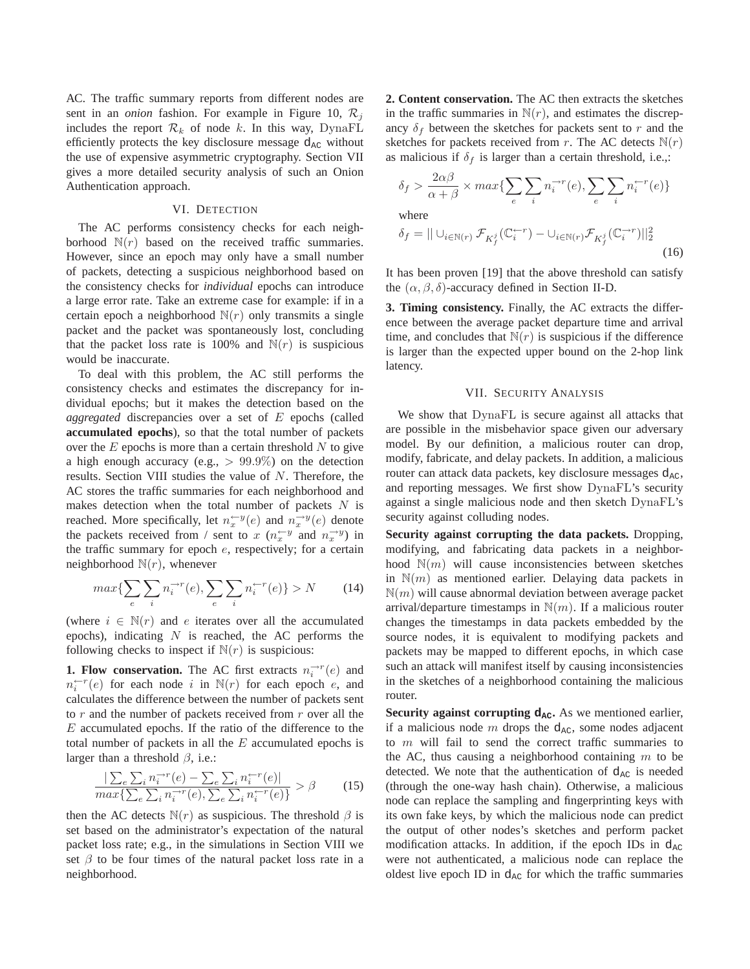AC. The traffic summary reports from different nodes are sent in an *onion* fashion. For example in Figure 10,  $\mathcal{R}_j$ includes the report  $\mathcal{R}_k$  of node k. In this way, DynaFL efficiently protects the key disclosure message  $d_{AC}$  without the use of expensive asymmetric cryptography. Section VII gives a more detailed security analysis of such an Onion Authentication approach.

#### VI. DETECTION

The AC performs consistency checks for each neighborhood  $N(r)$  based on the received traffic summaries. However, since an epoch may only have a small number of packets, detecting a suspicious neighborhood based on the consistency checks for *individual* epochs can introduce a large error rate. Take an extreme case for example: if in a certain epoch a neighborhood  $N(r)$  only transmits a single packet and the packet was spontaneously lost, concluding that the packet loss rate is 100% and  $N(r)$  is suspicious would be inaccurate.

To deal with this problem, the AC still performs the consistency checks and estimates the discrepancy for individual epochs; but it makes the detection based on the *aggregated* discrepancies over a set of E epochs (called **accumulated epochs**), so that the total number of packets over the  $E$  epochs is more than a certain threshold  $N$  to give a high enough accuracy (e.g.,  $> 99.9\%$ ) on the detection results. Section VIII studies the value of N. Therefore, the AC stores the traffic summaries for each neighborhood and makes detection when the total number of packets  $N$  is reached. More specifically, let  $n_x^{\leftarrow y}(e)$  and  $n_x^{\rightarrow y}(e)$  denote the packets received from / sent to x  $(n_x^{\leftarrow y}$  and  $n_x^{\rightarrow y})$  in the traffic summary for epoch e, respectively; for a certain neighborhood  $N(r)$ , whenever

$$
max\{\sum_{e}\sum_{i}n_{i}^{-r}(e), \sum_{e}\sum_{i}n_{i}^{r-r}(e)\} > N \qquad (14)
$$

(where  $i \in \mathbb{N}(r)$  and e iterates over all the accumulated epochs), indicating  $N$  is reached, the AC performs the following checks to inspect if  $N(r)$  is suspicious:

**1. Flow conservation.** The AC first extracts  $n_i^{-r}(e)$  and  $n_i^{(-r}(e)$  for each node i in  $\mathbb{N}(r)$  for each epoch e, and calculates the difference between the number of packets sent to  $r$  and the number of packets received from  $r$  over all the E accumulated epochs. If the ratio of the difference to the total number of packets in all the  $E$  accumulated epochs is larger than a threshold  $\beta$ , i.e.:

$$
\frac{|\sum_{e}\sum_{i}n_{i}^{\rightarrow r}(e)-\sum_{e}\sum_{i}n_{i}^{\leftarrow r}(e)|}{max\{\sum_{e}\sum_{i}n_{i}^{\rightarrow r}(e),\sum_{e}\sum_{i}n_{i}^{\leftarrow r}(e)\}} > \beta \tag{15}
$$

then the AC detects  $N(r)$  as suspicious. The threshold  $\beta$  is set based on the administrator's expectation of the natural packet loss rate; e.g., in the simulations in Section VIII we set  $\beta$  to be four times of the natural packet loss rate in a neighborhood.

**2. Content conservation.** The AC then extracts the sketches in the traffic summaries in  $N(r)$ , and estimates the discrepancy  $\delta_f$  between the sketches for packets sent to r and the sketches for packets received from r. The AC detects  $\mathbb{N}(r)$ as malicious if  $\delta_f$  is larger than a certain threshold, i.e.,:

$$
\delta_f > \frac{2\alpha\beta}{\alpha + \beta} \times max\left\{ \sum_e \sum_i n_i^{-r}(e), \sum_e \sum_i n_i^{+r}(e) \right\}
$$
  
where  

$$
\delta_f = || \cup_{i \in \mathbb{N}(r)} \mathcal{F}_{K_f^j}(\mathbb{C}_i^{r-r}) - \cup_{i \in \mathbb{N}(r)} \mathcal{F}_{K_f^j}(\mathbb{C}_i^{r-r}) ||_2^2
$$
 (16)

It has been proven [19] that the above threshold can satisfy the  $(\alpha, \beta, \delta)$ -accuracy defined in Section II-D.

**3. Timing consistency.** Finally, the AC extracts the difference between the average packet departure time and arrival time, and concludes that  $N(r)$  is suspicious if the difference is larger than the expected upper bound on the 2-hop link latency.

#### VII. SECURITY ANALYSIS

We show that DynaFL is secure against all attacks that are possible in the misbehavior space given our adversary model. By our definition, a malicious router can drop, modify, fabricate, and delay packets. In addition, a malicious router can attack data packets, key disclosure messages  $d_{AC}$ , and reporting messages. We first show DynaFL's security against a single malicious node and then sketch DynaFL's security against colluding nodes.

**Security against corrupting the data packets.** Dropping, modifying, and fabricating data packets in a neighborhood  $\mathbb{N}(m)$  will cause inconsistencies between sketches in  $\mathbb{N}(m)$  as mentioned earlier. Delaying data packets in  $\mathbb{N}(m)$  will cause abnormal deviation between average packet arrival/departure timestamps in  $\mathbb{N}(m)$ . If a malicious router changes the timestamps in data packets embedded by the source nodes, it is equivalent to modifying packets and packets may be mapped to different epochs, in which case such an attack will manifest itself by causing inconsistencies in the sketches of a neighborhood containing the malicious router.

**Security against corrupting**  $d_{AC}$ **. As we mentioned earlier,** if a malicious node m drops the  $d_{AC}$ , some nodes adjacent to  $m$  will fail to send the correct traffic summaries to the AC, thus causing a neighborhood containing  $m$  to be detected. We note that the authentication of  $d_{AC}$  is needed (through the one-way hash chain). Otherwise, a malicious node can replace the sampling and fingerprinting keys with its own fake keys, by which the malicious node can predict the output of other nodes's sketches and perform packet modification attacks. In addition, if the epoch IDs in  $d_{AC}$ were not authenticated, a malicious node can replace the oldest live epoch ID in  $d_{AC}$  for which the traffic summaries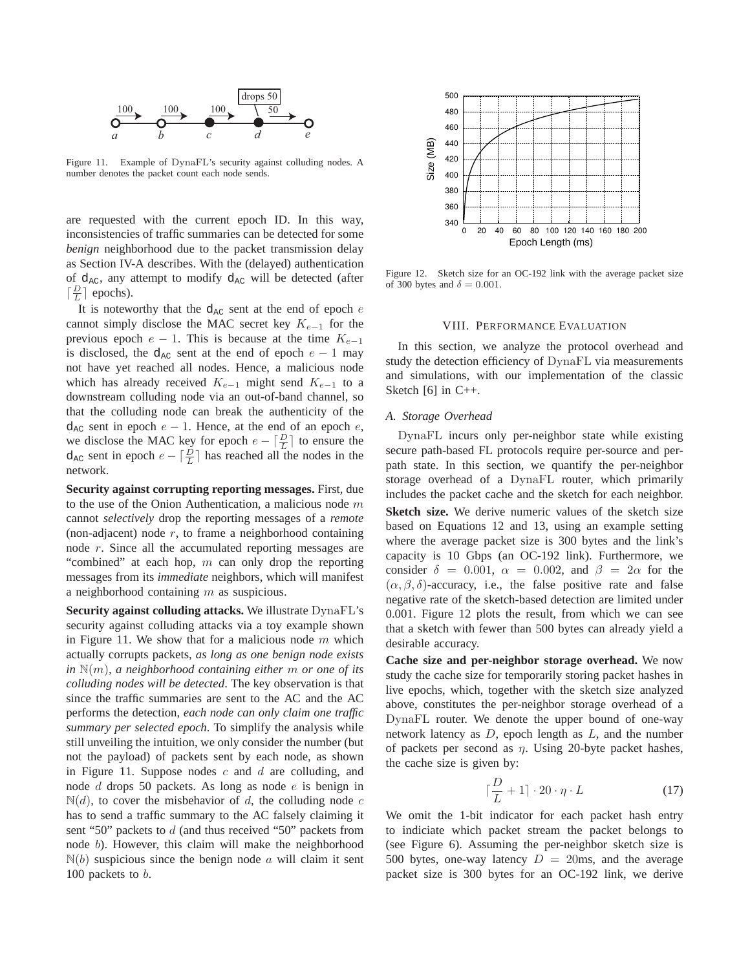

Figure 11. Example of DynaFL's security against colluding nodes. A number denotes the packet count each node sends.

are requested with the current epoch ID. In this way, inconsistencies of traffic summaries can be detected for some *benign* neighborhood due to the packet transmission delay as Section IV-A describes. With the (delayed) authentication of  $d_{AC}$ , any attempt to modify  $d_{AC}$  will be detected (after  $\lceil \frac{D}{L} \rceil$  epochs).

It is noteworthy that the  $d_{AC}$  sent at the end of epoch  $e$ cannot simply disclose the MAC secret key  $K_{e-1}$  for the previous epoch  $e - 1$ . This is because at the time  $K_{e-1}$ is disclosed, the d<sub>AC</sub> sent at the end of epoch  $e - 1$  may not have yet reached all nodes. Hence, a malicious node which has already received  $K_{e-1}$  might send  $K_{e-1}$  to a downstream colluding node via an out-of-band channel, so that the colluding node can break the authenticity of the  $d_{AC}$  sent in epoch  $e - 1$ . Hence, at the end of an epoch  $e$ , we disclose the MAC key for epoch  $e - \lceil \frac{D}{L} \rceil$  to ensure the  $d_{AC}$  sent in epoch  $e - \left\lceil \frac{D}{L} \right\rceil$  has reached all the nodes in the network.

**Security against corrupting reporting messages.** First, due to the use of the Onion Authentication, a malicious node  $m$ cannot *selectively* drop the reporting messages of a *remote* (non-adjacent) node  $r$ , to frame a neighborhood containing node r. Since all the accumulated reporting messages are "combined" at each hop,  $m$  can only drop the reporting messages from its *immediate* neighbors, which will manifest a neighborhood containing  $m$  as suspicious.

**Security against colluding attacks.** We illustrate DynaFL's security against colluding attacks via a toy example shown in Figure 11. We show that for a malicious node  $m$  which actually corrupts packets, *as long as one benign node exists in* N(m)*, a neighborhood containing either* m *or one of its colluding nodes will be detected*. The key observation is that since the traffic summaries are sent to the AC and the AC performs the detection, *each node can only claim one traffic summary per selected epoch*. To simplify the analysis while still unveiling the intuition, we only consider the number (but not the payload) of packets sent by each node, as shown in Figure 11. Suppose nodes  $c$  and  $d$  are colluding, and node d drops 50 packets. As long as node e is benign in  $N(d)$ , to cover the misbehavior of d, the colluding node c has to send a traffic summary to the AC falsely claiming it sent "50" packets to d (and thus received "50" packets from node b). However, this claim will make the neighborhood  $\mathbb{N}(b)$  suspicious since the benign node a will claim it sent 100 packets to  $b$ .



Figure 12. Sketch size for an OC-192 link with the average packet size of 300 bytes and  $\delta = 0.001$ .

## VIII. PERFORMANCE EVALUATION

In this section, we analyze the protocol overhead and study the detection efficiency of DynaFL via measurements and simulations, with our implementation of the classic Sketch [6] in C++.

## *A. Storage Overhead*

DynaFL incurs only per-neighbor state while existing secure path-based FL protocols require per-source and perpath state. In this section, we quantify the per-neighbor storage overhead of a DynaFL router, which primarily includes the packet cache and the sketch for each neighbor. **Sketch size.** We derive numeric values of the sketch size based on Equations 12 and 13, using an example setting where the average packet size is 300 bytes and the link's capacity is 10 Gbps (an OC-192 link). Furthermore, we consider  $\delta = 0.001$ ,  $\alpha = 0.002$ , and  $\beta = 2\alpha$  for the  $(\alpha, \beta, \delta)$ -accuracy, i.e., the false positive rate and false negative rate of the sketch-based detection are limited under 0.001. Figure 12 plots the result, from which we can see that a sketch with fewer than 500 bytes can already yield a desirable accuracy.

**Cache size and per-neighbor storage overhead.** We now study the cache size for temporarily storing packet hashes in live epochs, which, together with the sketch size analyzed above, constitutes the per-neighbor storage overhead of a DynaFL router. We denote the upper bound of one-way network latency as  $D$ , epoch length as  $L$ , and the number of packets per second as  $\eta$ . Using 20-byte packet hashes, the cache size is given by:

$$
\lceil \frac{D}{L} + 1 \rceil \cdot 20 \cdot \eta \cdot L \tag{17}
$$

We omit the 1-bit indicator for each packet hash entry to indiciate which packet stream the packet belongs to (see Figure 6). Assuming the per-neighbor sketch size is 500 bytes, one-way latency  $D = 20$ ms, and the average packet size is 300 bytes for an OC-192 link, we derive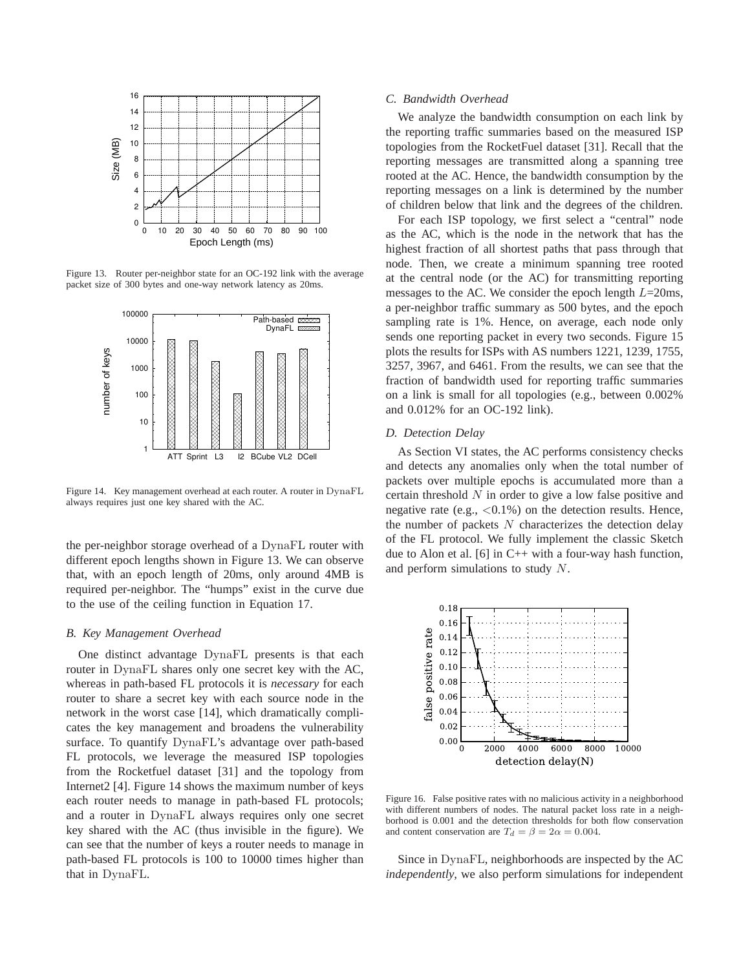

Figure 13. Router per-neighbor state for an OC-192 link with the average packet size of 300 bytes and one-way network latency as 20ms.



Figure 14. Key management overhead at each router. A router in DynaFL always requires just one key shared with the AC.

the per-neighbor storage overhead of a DynaFL router with different epoch lengths shown in Figure 13. We can observe that, with an epoch length of 20ms, only around 4MB is required per-neighbor. The "humps" exist in the curve due to the use of the ceiling function in Equation 17.

#### *B. Key Management Overhead*

One distinct advantage DynaFL presents is that each router in DynaFL shares only one secret key with the AC, whereas in path-based FL protocols it is *necessary* for each router to share a secret key with each source node in the network in the worst case [14], which dramatically complicates the key management and broadens the vulnerability surface. To quantify DynaFL's advantage over path-based FL protocols, we leverage the measured ISP topologies from the Rocketfuel dataset [31] and the topology from Internet2 [4]. Figure 14 shows the maximum number of keys each router needs to manage in path-based FL protocols; and a router in DynaFL always requires only one secret key shared with the AC (thus invisible in the figure). We can see that the number of keys a router needs to manage in path-based FL protocols is 100 to 10000 times higher than that in DynaFL.

#### *C. Bandwidth Overhead*

We analyze the bandwidth consumption on each link by the reporting traffic summaries based on the measured ISP topologies from the RocketFuel dataset [31]. Recall that the reporting messages are transmitted along a spanning tree rooted at the AC. Hence, the bandwidth consumption by the reporting messages on a link is determined by the number of children below that link and the degrees of the children.

For each ISP topology, we first select a "central" node as the AC, which is the node in the network that has the highest fraction of all shortest paths that pass through that node. Then, we create a minimum spanning tree rooted at the central node (or the AC) for transmitting reporting messages to the AC. We consider the epoch length  $L=20$ ms, a per-neighbor traffic summary as 500 bytes, and the epoch sampling rate is 1%. Hence, on average, each node only sends one reporting packet in every two seconds. Figure 15 plots the results for ISPs with AS numbers 1221, 1239, 1755, 3257, 3967, and 6461. From the results, we can see that the fraction of bandwidth used for reporting traffic summaries on a link is small for all topologies (e.g., between 0.002% and 0.012% for an OC-192 link).

#### *D. Detection Delay*

As Section VI states, the AC performs consistency checks and detects any anomalies only when the total number of packets over multiple epochs is accumulated more than a certain threshold  $N$  in order to give a low false positive and negative rate (e.g.,  $\langle 0.1\% \rangle$ ) on the detection results. Hence, the number of packets  $N$  characterizes the detection delay of the FL protocol. We fully implement the classic Sketch due to Alon et al. [6] in  $C++$  with a four-way hash function, and perform simulations to study N.



Figure 16. False positive rates with no malicious activity in a neighborhood with different numbers of nodes. The natural packet loss rate in a neighborhood is 0.001 and the detection thresholds for both flow conservation and content conservation are  $T_d = \beta = 2\alpha = 0.004$ .

Since in DynaFL, neighborhoods are inspected by the AC *independently*, we also perform simulations for independent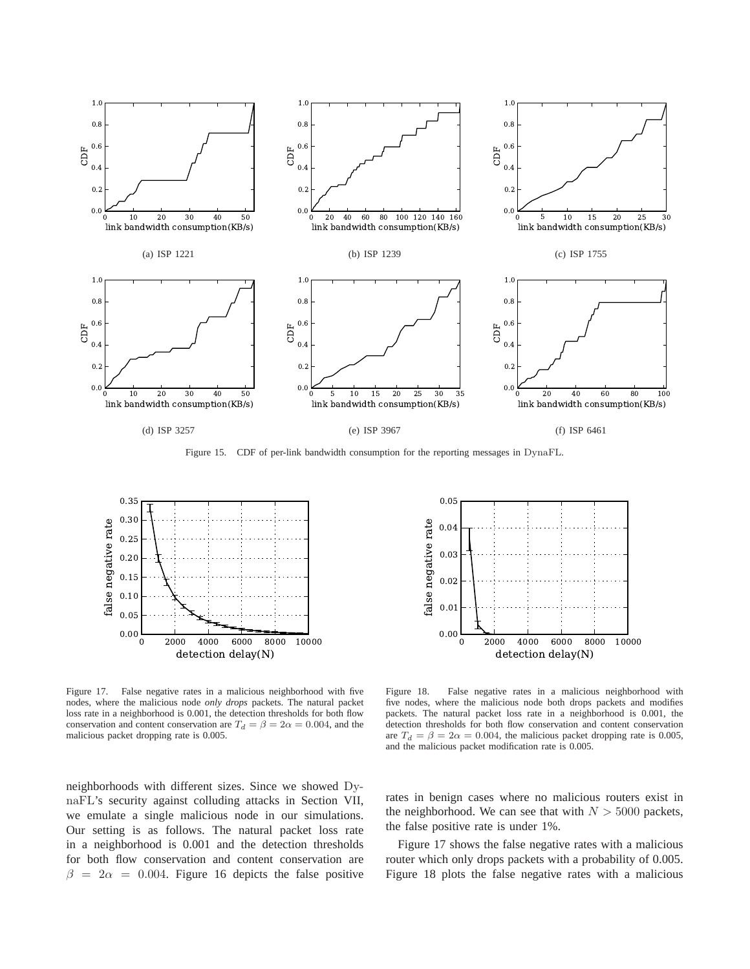

Figure 15. CDF of per-link bandwidth consumption for the reporting messages in DynaFL.



Figure 17. False negative rates in a malicious neighborhood with five nodes, where the malicious node *only drops* packets. The natural packet loss rate in a neighborhood is 0.001, the detection thresholds for both flow conservation and content conservation are  $T_d = \beta = 2\alpha = 0.004$ , and the malicious packet dropping rate is 0.005.





Figure 18. False negative rates in a malicious neighborhood with five nodes, where the malicious node both drops packets and modifies packets. The natural packet loss rate in a neighborhood is 0.001, the detection thresholds for both flow conservation and content conservation are  $T_d = \beta = 2\alpha = 0.004$ , the malicious packet dropping rate is 0.005, and the malicious packet modification rate is 0.005.

rates in benign cases where no malicious routers exist in the neighborhood. We can see that with  $N > 5000$  packets, the false positive rate is under 1%.

Figure 17 shows the false negative rates with a malicious router which only drops packets with a probability of 0.005. Figure 18 plots the false negative rates with a malicious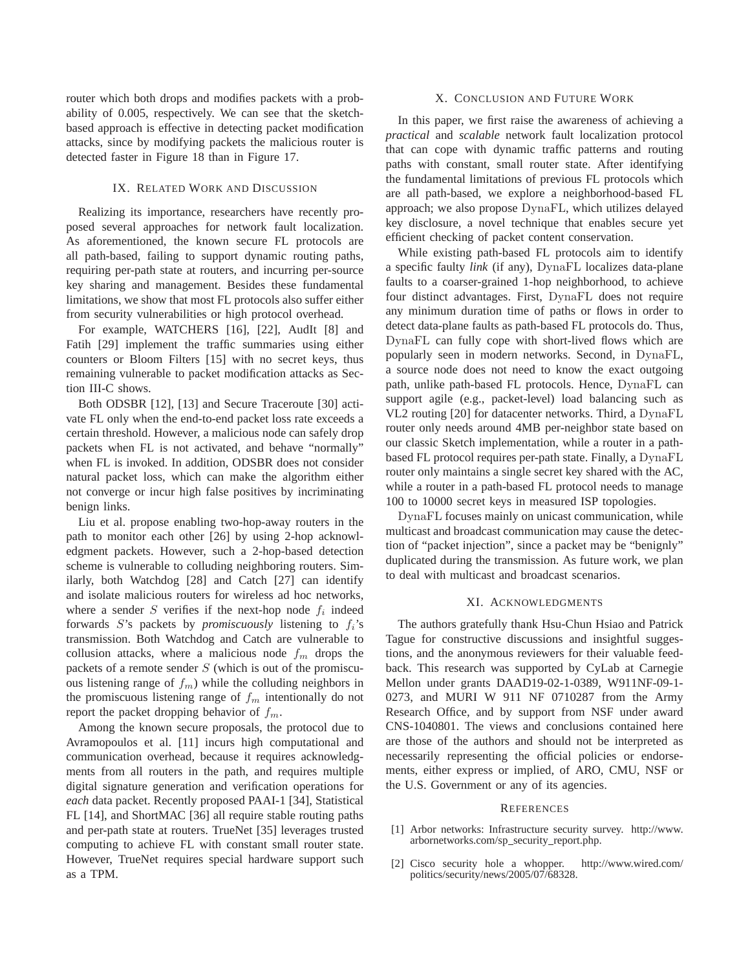router which both drops and modifies packets with a probability of 0.005, respectively. We can see that the sketchbased approach is effective in detecting packet modification attacks, since by modifying packets the malicious router is detected faster in Figure 18 than in Figure 17.

#### IX. RELATED WORK AND DISCUSSION

Realizing its importance, researchers have recently proposed several approaches for network fault localization. As aforementioned, the known secure FL protocols are all path-based, failing to support dynamic routing paths, requiring per-path state at routers, and incurring per-source key sharing and management. Besides these fundamental limitations, we show that most FL protocols also suffer either from security vulnerabilities or high protocol overhead.

For example, WATCHERS [16], [22], AudIt [8] and Fatih [29] implement the traffic summaries using either counters or Bloom Filters [15] with no secret keys, thus remaining vulnerable to packet modification attacks as Section III-C shows.

Both ODSBR [12], [13] and Secure Traceroute [30] activate FL only when the end-to-end packet loss rate exceeds a certain threshold. However, a malicious node can safely drop packets when FL is not activated, and behave "normally" when FL is invoked. In addition, ODSBR does not consider natural packet loss, which can make the algorithm either not converge or incur high false positives by incriminating benign links.

Liu et al. propose enabling two-hop-away routers in the path to monitor each other [26] by using 2-hop acknowledgment packets. However, such a 2-hop-based detection scheme is vulnerable to colluding neighboring routers. Similarly, both Watchdog [28] and Catch [27] can identify and isolate malicious routers for wireless ad hoc networks, where a sender  $S$  verifies if the next-hop node  $f_i$  indeed forwards  $S$ 's packets by *promiscuously* listening to  $f_i$ 's transmission. Both Watchdog and Catch are vulnerable to collusion attacks, where a malicious node  $f_m$  drops the packets of a remote sender  $S$  (which is out of the promiscuous listening range of  $f_m$ ) while the colluding neighbors in the promiscuous listening range of  $f_m$  intentionally do not report the packet dropping behavior of  $f_m$ .

Among the known secure proposals, the protocol due to Avramopoulos et al. [11] incurs high computational and communication overhead, because it requires acknowledgments from all routers in the path, and requires multiple digital signature generation and verification operations for *each* data packet. Recently proposed PAAI-1 [34], Statistical FL [14], and ShortMAC [36] all require stable routing paths and per-path state at routers. TrueNet [35] leverages trusted computing to achieve FL with constant small router state. However, TrueNet requires special hardware support such as a TPM.

# X. CONCLUSION AND FUTURE WORK

In this paper, we first raise the awareness of achieving a *practical* and *scalable* network fault localization protocol that can cope with dynamic traffic patterns and routing paths with constant, small router state. After identifying the fundamental limitations of previous FL protocols which are all path-based, we explore a neighborhood-based FL approach; we also propose DynaFL, which utilizes delayed key disclosure, a novel technique that enables secure yet efficient checking of packet content conservation.

While existing path-based FL protocols aim to identify a specific faulty *link* (if any), DynaFL localizes data-plane faults to a coarser-grained 1-hop neighborhood, to achieve four distinct advantages. First, DynaFL does not require any minimum duration time of paths or flows in order to detect data-plane faults as path-based FL protocols do. Thus, DynaFL can fully cope with short-lived flows which are popularly seen in modern networks. Second, in DynaFL, a source node does not need to know the exact outgoing path, unlike path-based FL protocols. Hence, DynaFL can support agile (e.g., packet-level) load balancing such as VL2 routing [20] for datacenter networks. Third, a DynaFL router only needs around 4MB per-neighbor state based on our classic Sketch implementation, while a router in a pathbased FL protocol requires per-path state. Finally, a DynaFL router only maintains a single secret key shared with the AC, while a router in a path-based FL protocol needs to manage 100 to 10000 secret keys in measured ISP topologies.

DynaFL focuses mainly on unicast communication, while multicast and broadcast communication may cause the detection of "packet injection", since a packet may be "benignly" duplicated during the transmission. As future work, we plan to deal with multicast and broadcast scenarios.

#### XI. ACKNOWLEDGMENTS

The authors gratefully thank Hsu-Chun Hsiao and Patrick Tague for constructive discussions and insightful suggestions, and the anonymous reviewers for their valuable feedback. This research was supported by CyLab at Carnegie Mellon under grants DAAD19-02-1-0389, W911NF-09-1- 0273, and MURI W 911 NF 0710287 from the Army Research Office, and by support from NSF under award CNS-1040801. The views and conclusions contained here are those of the authors and should not be interpreted as necessarily representing the official policies or endorsements, either express or implied, of ARO, CMU, NSF or the U.S. Government or any of its agencies.

#### **REFERENCES**

- [1] Arbor networks: Infrastructure security survey. http://www. arbornetworks.com/sp\_security\_report.php.
- [2] Cisco security hole a whopper. http://www.wired.com/ politics/security/news/2005/07/68328.